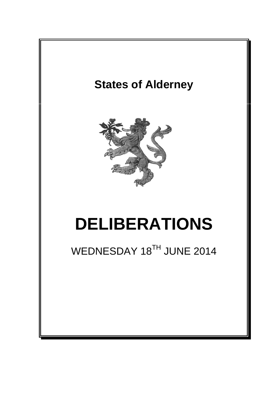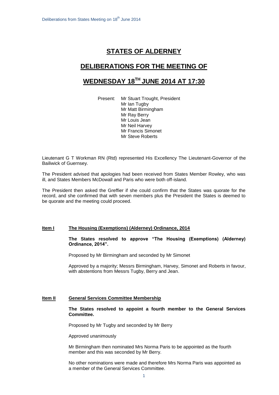# **STATES OF ALDERNEY**

# **DELIBERATIONS FOR THE MEETING OF**

# **WEDNESDAY 18 TH JUNE 2014 AT 17:30**

Present: Mr Stuart Trought, President Mr Ian Tugby Mr Matt Birmingham Mr Ray Berry Mr Louis Jean Mr Neil Harvey Mr Francis Simonet Mr Steve Roberts

Lieutenant G T Workman RN (Rtd) represented His Excellency The Lieutenant-Governor of the Bailiwick of Guernsey.

The President advised that apologies had been received from States Member Rowley, who was ill, and States Members McDowall and Paris who were both off-island.

The President then asked the Greffier if she could confirm that the States was quorate for the record, and she confirmed that with seven members plus the President the States is deemed to be quorate and the meeting could proceed.

## **Item I The Housing (Exemptions) (Alderney) Ordinance, 2014**

**The States resolved to approve "The Housing (Exemptions) (Alderney) Ordinance, 2014".** 

Proposed by Mr Birmingham and seconded by Mr Simonet

Approved by a majority; Messrs Birmingham, Harvey, Simonet and Roberts in favour, with abstentions from Messrs Tugby, Berry and Jean.

#### **Item II General Services Committee Membership**

**The States resolved to appoint a fourth member to the General Services Committee.**

Proposed by Mr Tugby and seconded by Mr Berry

Approved unanimously

Mr Birmingham then nominated Mrs Norma Paris to be appointed as the fourth member and this was seconded by Mr Berry.

No other nominations were made and therefore Mrs Norma Paris was appointed as a member of the General Services Committee.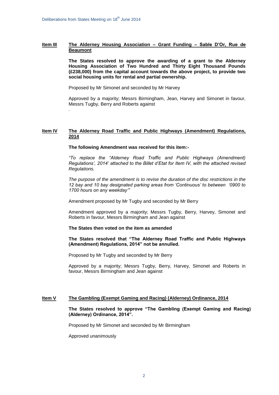.

#### **Item III The Alderney Housing Association – Grant Funding – Sable D'Or, Rue de Beaumont**

**The States resolved to approve the awarding of a grant to the Alderney Housing Association of Two Hundred and Thirty Eight Thousand Pounds (£238,000) from the capital account towards the above project, to provide two social housing units for rental and partial ownership.**

Proposed by Mr Simonet and seconded by Mr Harvey

Approved by a majority; Messrs Birmingham, Jean, Harvey and Simonet in favour, Messrs Tugby, Berry and Roberts against

## **Item IV The Alderney Road Traffic and Public Highways (Amendment) Regulations, 2014**

#### **The following Amendment was received for this item:-**

*"To replace the "Alderney Road Traffic and Public Highways (Amendment) Regulations', 2014' attached to the Billet d'Etat for Item IV, with the attached revised Regulations.*

*The purpose of the amendment is to revise the duration of the disc restrictions in the 12 bay and 10 bay designated parking areas from 'Continuous' to between '0900 to 1700 hours on any weekday'"*

Amendment proposed by Mr Tugby and seconded by Mr Berry

Amendment approved by a majority; Messrs Tugby, Berry, Harvey, Simonet and Roberts in favour, Messrs Birmingham and Jean against

#### **The States then voted on the item as amended**

**The States resolved that "The Alderney Road Traffic and Public Highways (Amendment) Regulations, 2014" not be annulled.**

Proposed by Mr Tugby and seconded by Mr Berry

Approved by a majority; Messrs Tugby, Berry, Harvey, Simonet and Roberts in favour, Messrs Birmingham and Jean against

## **Item V The Gambling (Exempt Gaming and Racing) (Alderney) Ordinance, 2014**

**The States resolved to approve "The Gambling (Exempt Gaming and Racing) (Alderney) Ordinance, 2014".**

Proposed by Mr Simonet and seconded by Mr Birmingham

Approved unanimously